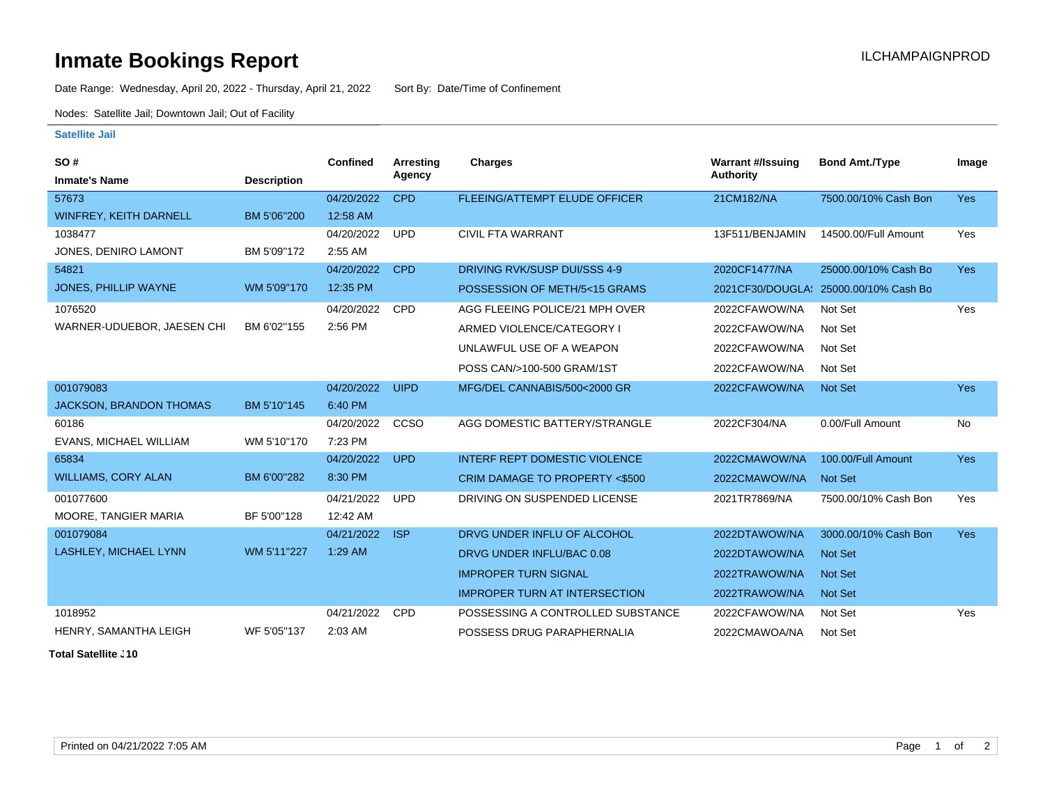## **Inmate Bookings Report International Contract Contract Contract Contract Contract Contract Contract Contract Contract Contract Contract Contract Contract Contract Contract Contract Contract Contract Contract Contract Co**

Date Range: Wednesday, April 20, 2022 - Thursday, April 21, 2022 Sort By: Date/Time of Confinement

Nodes: Satellite Jail; Downtown Jail; Out of Facility

## **Satellite Jail**

| <b>SO#</b>                     |                    | Confined   | <b>Arresting</b> | <b>Charges</b>                       | <b>Warrant #/Issuing</b> | <b>Bond Amt./Type</b>                 | Image      |
|--------------------------------|--------------------|------------|------------------|--------------------------------------|--------------------------|---------------------------------------|------------|
| <b>Inmate's Name</b>           | <b>Description</b> |            | Agency           |                                      | Authority                |                                       |            |
| 57673                          |                    | 04/20/2022 | <b>CPD</b>       | FLEEING/ATTEMPT ELUDE OFFICER        | 21CM182/NA               | 7500.00/10% Cash Bon                  | <b>Yes</b> |
| <b>WINFREY, KEITH DARNELL</b>  | BM 5'06"200        | 12:58 AM   |                  |                                      |                          |                                       |            |
| 1038477                        |                    | 04/20/2022 | <b>UPD</b>       | <b>CIVIL FTA WARRANT</b>             | 13F511/BENJAMIN          | 14500.00/Full Amount                  | Yes        |
| JONES, DENIRO LAMONT           | BM 5'09"172        | 2:55 AM    |                  |                                      |                          |                                       |            |
| 54821                          |                    | 04/20/2022 | <b>CPD</b>       | DRIVING RVK/SUSP DUI/SSS 4-9         | 2020CF1477/NA            | 25000.00/10% Cash Bo                  | <b>Yes</b> |
| JONES, PHILLIP WAYNE           | WM 5'09"170        | 12:35 PM   |                  | POSSESSION OF METH/5<15 GRAMS        |                          | 2021CF30/DOUGLA: 25000.00/10% Cash Bo |            |
| 1076520                        |                    | 04/20/2022 | <b>CPD</b>       | AGG FLEEING POLICE/21 MPH OVER       | 2022CFAWOW/NA            | Not Set                               | Yes        |
| WARNER-UDUEBOR, JAESEN CHI     | BM 6'02"155        | 2:56 PM    |                  | ARMED VIOLENCE/CATEGORY I            | 2022CFAWOW/NA            | Not Set                               |            |
|                                |                    |            |                  | UNLAWFUL USE OF A WEAPON             | 2022CFAWOW/NA            | Not Set                               |            |
|                                |                    |            |                  | POSS CAN/>100-500 GRAM/1ST           | 2022CFAWOW/NA            | Not Set                               |            |
| 001079083                      |                    | 04/20/2022 | <b>UIPD</b>      | MFG/DEL CANNABIS/500<2000 GR         | 2022CFAWOW/NA            | <b>Not Set</b>                        | <b>Yes</b> |
| <b>JACKSON, BRANDON THOMAS</b> | BM 5'10"145        | 6:40 PM    |                  |                                      |                          |                                       |            |
| 60186                          |                    | 04/20/2022 | CCSO             | AGG DOMESTIC BATTERY/STRANGLE        | 2022CF304/NA             | 0.00/Full Amount                      | <b>No</b>  |
| EVANS, MICHAEL WILLIAM         | WM 5'10"170        | 7:23 PM    |                  |                                      |                          |                                       |            |
| 65834                          |                    | 04/20/2022 | <b>UPD</b>       | <b>INTERF REPT DOMESTIC VIOLENCE</b> | 2022CMAWOW/NA            | 100.00/Full Amount                    | <b>Yes</b> |
| <b>WILLIAMS, CORY ALAN</b>     | BM 6'00"282        | 8:30 PM    |                  | CRIM DAMAGE TO PROPERTY <\$500       | 2022CMAWOW/NA            | <b>Not Set</b>                        |            |
| 001077600                      |                    | 04/21/2022 | <b>UPD</b>       | DRIVING ON SUSPENDED LICENSE         | 2021TR7869/NA            | 7500.00/10% Cash Bon                  | Yes        |
| MOORE, TANGIER MARIA           | BF 5'00"128        | 12:42 AM   |                  |                                      |                          |                                       |            |
| 001079084                      |                    | 04/21/2022 | <b>ISP</b>       | DRVG UNDER INFLU OF ALCOHOL          | 2022DTAWOW/NA            | 3000.00/10% Cash Bon                  | <b>Yes</b> |
| LASHLEY, MICHAEL LYNN          | WM 5'11"227        | 1:29 AM    |                  | DRVG UNDER INFLU/BAC 0.08            | 2022DTAWOW/NA            | <b>Not Set</b>                        |            |
|                                |                    |            |                  | <b>IMPROPER TURN SIGNAL</b>          | 2022TRAWOW/NA            | <b>Not Set</b>                        |            |
|                                |                    |            |                  | <b>IMPROPER TURN AT INTERSECTION</b> | 2022TRAWOW/NA            | <b>Not Set</b>                        |            |
| 1018952                        |                    | 04/21/2022 | <b>CPD</b>       | POSSESSING A CONTROLLED SUBSTANCE    | 2022CFAWOW/NA            | Not Set                               | Yes        |
| HENRY, SAMANTHA LEIGH          | WF 5'05"137        | 2:03 AM    |                  | POSSESS DRUG PARAPHERNALIA           | 2022CMAWOA/NA            | Not Set                               |            |

**Total Satellite . 10**